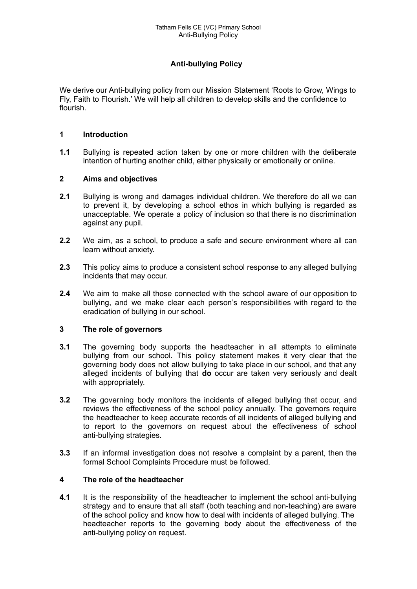# **Anti-bullying Policy**

We derive our Anti-bullying policy from our Mission Statement 'Roots to Grow, Wings to Fly, Faith to Flourish.' We will help all children to develop skills and the confidence to flourish.

#### **1 Introduction**

**1.1** Bullying is repeated action taken by one or more children with the deliberate intention of hurting another child, either physically or emotionally or online.

#### **2 Aims and objectives**

- **2.1** Bullying is wrong and damages individual children. We therefore do all we can to prevent it, by developing a school ethos in which bullying is regarded as unacceptable. We operate a policy of inclusion so that there is no discrimination against any pupil.
- **2.2** We aim, as a school, to produce a safe and secure environment where all can learn without anxiety.
- **2.3** This policy aims to produce a consistent school response to any alleged bullying incidents that may occur.
- **2.4** We aim to make all those connected with the school aware of our opposition to bullying, and we make clear each person's responsibilities with regard to the eradication of bullying in our school.

#### **3 The role of governors**

- **3.1** The governing body supports the headteacher in all attempts to eliminate bullying from our school. This policy statement makes it very clear that the governing body does not allow bullying to take place in our school, and that any alleged incidents of bullying that **do** occur are taken very seriously and dealt with appropriately.
- **3.2** The governing body monitors the incidents of alleged bullying that occur, and reviews the effectiveness of the school policy annually. The governors require the headteacher to keep accurate records of all incidents of alleged bullying and to report to the governors on request about the effectiveness of school anti-bullying strategies.
- **3.3** If an informal investigation does not resolve a complaint by a parent, then the formal School Complaints Procedure must be followed.

### **4 The role of the headteacher**

**4.1** It is the responsibility of the headteacher to implement the school anti-bullying strategy and to ensure that all staff (both teaching and non-teaching) are aware of the school policy and know how to deal with incidents of alleged bullying. The headteacher reports to the governing body about the effectiveness of the anti-bullying policy on request.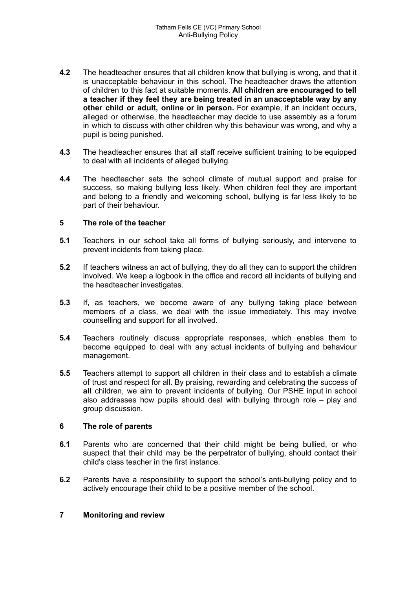- **4.2** The headteacher ensures that all children know that bullying is wrong, and that it is unacceptable behaviour in this school. The headteacher draws the attention of children to this fact at suitable moments. **All children are encouraged to tell a teacher if they feel they are being treated in an unacceptable way by any other child or adult, online or in person.** For example, if an incident occurs, alleged or otherwise, the headteacher may decide to use assembly as a forum in which to discuss with other children why this behaviour was wrong, and why a pupil is being punished.
- **4.3** The headteacher ensures that all staff receive sufficient training to be equipped to deal with all incidents of alleged bullying.
- **4.4** The headteacher sets the school climate of mutual support and praise for success, so making bullying less likely. When children feel they are important and belong to a friendly and welcoming school, bullying is far less likely to be part of their behaviour.

#### **5 The role of the teacher**

- **5.1** Teachers in our school take all forms of bullying seriously, and intervene to prevent incidents from taking place.
- **5.2** If teachers witness an act of bullying, they do all they can to support the children involved. We keep a logbook in the office and record all incidents of bullying and the headteacher investigates.
- **5.3** If, as teachers, we become aware of any bullying taking place between members of a class, we deal with the issue immediately. This may involve counselling and support for all involved.
- **5.4** Teachers routinely discuss appropriate responses, which enables them to become equipped to deal with any actual incidents of bullying and behaviour management.
- **5.5** Teachers attempt to support all children in their class and to establish a climate of trust and respect for all. By praising, rewarding and celebrating the success of **all** children, we aim to prevent incidents of bullying. Our PSHE input in school also addresses how pupils should deal with bullying through role – play and group discussion.

#### **6 The role of parents**

- **6.1** Parents who are concerned that their child might be being bullied, or who suspect that their child may be the perpetrator of bullying, should contact their child's class teacher in the first instance.
- **6.2** Parents have a responsibility to support the school's anti-bullying policy and to actively encourage their child to be a positive member of the school.

#### **7 Monitoring and review**